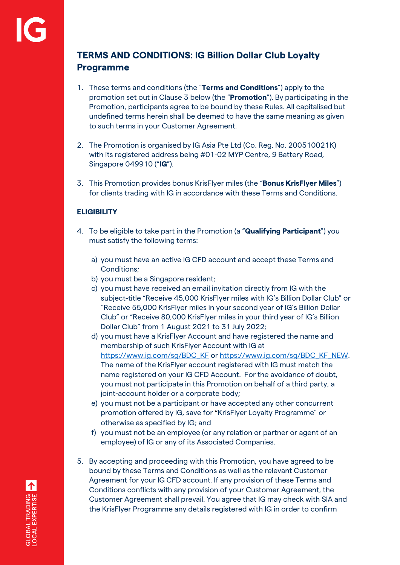# **TERMS AND CONDITIONS: IG Billion Dollar Club Loyalty Programme**

- 1. These terms and conditions (the "**Terms and Conditions**") apply to the promotion set out in Clause 3 below (the "**Promotion**"). By participating in the Promotion, participants agree to be bound by these Rules. All capitalised but undefined terms herein shall be deemed to have the same meaning as given to such terms in your Customer Agreement.
- 2. The Promotion is organised by IG Asia Pte Ltd (Co. Reg. No. 200510021K) with its registered address being #01-02 MYP Centre, 9 Battery Road, Singapore 049910 ("**IG**").
- 3. This Promotion provides bonus KrisFlyer miles (the "**Bonus KrisFlyer Miles**") for clients trading with IG in accordance with these Terms and Conditions.

### **ELIGIBILITY**

- 4. To be eligible to take part in the Promotion (a "**Qualifying Participant**") you must satisfy the following terms:
	- a) you must have an active IG CFD account and accept these Terms and Conditions;
	- b) you must be a Singapore resident;
	- c) you must have received an email invitation directly from IG with the subject-title "Receive 45,000 KrisFlyer miles with IG's Billion Dollar Club" or "Receive 55,000 KrisFlyer miles in your second year of IG's Billion Dollar Club" or "Receive 80,000 KrisFlyer miles in your third year of IG's Billion Dollar Club" from 1 August 2021 to 31 July 2022;
	- d) you must have a KrisFlyer Account and have registered the name and membership of such KrisFlyer Account with IG at [https://www.ig.com/sg/BDC\\_KF](https://www.ig.com/sg/BDC_KF) or [https://www.ig.com/sg/BDC\\_KF\\_NEW.](https://www.ig.com/sg/BDC_KF_NEW)  The name of the KrisFlyer account registered with IG must match the name registered on your IG CFD Account. For the avoidance of doubt, you must not participate in this Promotion on behalf of a third party, a joint-account holder or a corporate body;
	- e) you must not be a participant or have accepted any other concurrent promotion offered by IG, save for "KrisFlyer Loyalty Programme" or otherwise as specified by IG; and
	- f) you must not be an employee (or any relation or partner or agent of an employee) of IG or any of its Associated Companies.
- 5. By accepting and proceeding with this Promotion, you have agreed to be bound by these Terms and Conditions as well as the relevant Customer Agreement for your IG CFD account. If any provision of these Terms and Conditions conflicts with any provision of your Customer Agreement, the Customer Agreement shall prevail. You agree that IG may check with SIA and the KrisFlyer Programme any details registered with IG in order to confirm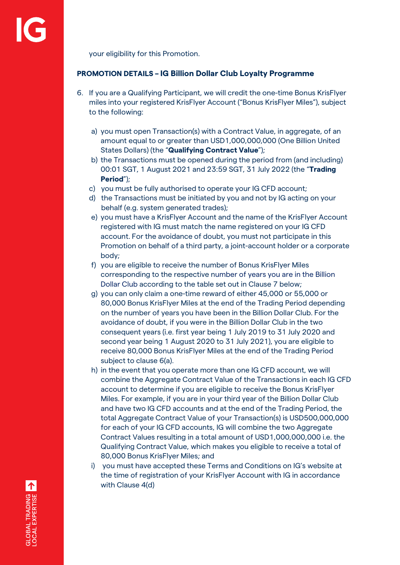your eligibility for this Promotion.

# **PROMOTION DETAILS – IG Billion Dollar Club Loyalty Programme**

- 6. If you are a Qualifying Participant, we will credit the one-time Bonus KrisFlyer miles into your registered KrisFlyer Account ("Bonus KrisFlyer Miles"), subject to the following:
	- a) you must open Transaction(s) with a Contract Value, in aggregate, of an amount equal to or greater than USD1,000,000,000 (One Billion United States Dollars) (the "**Qualifying Contract Value**");
	- b) the Transactions must be opened during the period from (and including) 00:01 SGT, 1 August 2021 and 23:59 SGT, 31 July 2022 (the "**Trading Period**");
	- c) you must be fully authorised to operate your IG CFD account;
	- d) the Transactions must be initiated by you and not by IG acting on your behalf (e.g. system generated trades);
	- e) you must have a KrisFlyer Account and the name of the KrisFlyer Account registered with IG must match the name registered on your IG CFD account. For the avoidance of doubt, you must not participate in this Promotion on behalf of a third party, a joint-account holder or a corporate body;
	- f) you are eligible to receive the number of Bonus KrisFlyer Miles corresponding to the respective number of years you are in the Billion Dollar Club according to the table set out in Clause 7 below;
	- g) you can only claim a one-time reward of either 45,000 or 55,000 or 80,000 Bonus KrisFlyer Miles at the end of the Trading Period depending on the number of years you have been in the Billion Dollar Club. For the avoidance of doubt, if you were in the Billion Dollar Club in the two consequent years (i.e. first year being 1 July 2019 to 31 July 2020 and second year being 1 August 2020 to 31 July 2021), you are eligible to receive 80,000 Bonus KrisFlyer Miles at the end of the Trading Period subject to clause 6(a).
	- h) in the event that you operate more than one IG CFD account, we will combine the Aggregate Contract Value of the Transactions in each IG CFD account to determine if you are eligible to receive the Bonus KrisFlyer Miles. For example, if you are in your third year of the Billion Dollar Club and have two IG CFD accounts and at the end of the Trading Period, the total Aggregate Contract Value of your Transaction(s) is USD500,000,000 for each of your IG CFD accounts, IG will combine the two Aggregate Contract Values resulting in a total amount of USD1,000,000,000 i.e. the Qualifying Contract Value, which makes you eligible to receive a total of 80,000 Bonus KrisFlyer Miles; and
	- i) you must have accepted these Terms and Conditions on IG's website at the time of registration of your KrisFlyer Account with IG in accordance with Clause 4(d)

GLOBAL TRADING A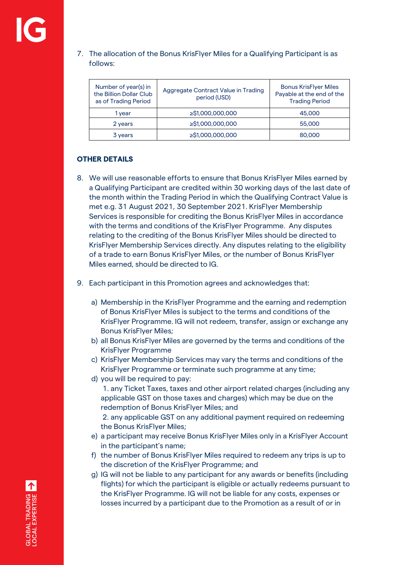# 7. The allocation of the Bonus KrisFlyer Miles for a Qualifying Participant is as follows:

| Number of year(s) in<br>the Billion Dollar Club<br>as of Trading Period | Aggregate Contract Value in Trading<br>period (USD) | <b>Bonus KrisFlyer Miles</b><br>Payable at the end of the<br><b>Trading Period</b> |
|-------------------------------------------------------------------------|-----------------------------------------------------|------------------------------------------------------------------------------------|
| 1 vear                                                                  | ≥\$1,000,000,000                                    | 45,000                                                                             |
| 2 years                                                                 | ≥\$1,000,000,000                                    | 55,000                                                                             |
| 3 years                                                                 | ≥\$1,000,000,000                                    | 80,000                                                                             |

# **OTHER DETAILS**

- 8. We will use reasonable efforts to ensure that Bonus KrisFlyer Miles earned by a Qualifying Participant are credited within 30 working days of the last date of the month within the Trading Period in which the Qualifying Contract Value is met e.g. 31 August 2021, 30 September 2021. KrisFlyer Membership Services is responsible for crediting the Bonus KrisFlyer Miles in accordance with the terms and conditions of the KrisFlyer Programme. Any disputes relating to the crediting of the Bonus KrisFlyer Miles should be directed to KrisFlyer Membership Services directly. Any disputes relating to the eligibility of a trade to earn Bonus KrisFlyer Miles, or the number of Bonus KrisFlyer Miles earned, should be directed to IG.
- 9. Each participant in this Promotion agrees and acknowledges that:
	- a) Membership in the KrisFlyer Programme and the earning and redemption of Bonus KrisFlyer Miles is subject to the terms and conditions of the KrisFlyer Programme. IG will not redeem, transfer, assign or exchange any Bonus KrisFlyer Miles;
	- b) all Bonus KrisFlyer Miles are governed by the terms and conditions of the KrisFlyer Programme
	- c) KrisFlyer Membership Services may vary the terms and conditions of the KrisFlyer Programme or terminate such programme at any time;
	- d) you will be required to pay:
		- 1. any Ticket Taxes, taxes and other airport related charges (including any applicable GST on those taxes and charges) which may be due on the redemption of Bonus KrisFlyer Miles; and

2. any applicable GST on any additional payment required on redeeming the Bonus KrisFlyer Miles;

- e) a participant may receive Bonus KrisFlyer Miles only in a KrisFlyer Account in the participant's name;
- f) the number of Bonus KrisFlyer Miles required to redeem any trips is up to the discretion of the KrisFlyer Programme; and
- g) IG will not be liable to any participant for any awards or benefits (including flights) for which the participant is eligible or actually redeems pursuant to the KrisFlyer Programme. IG will not be liable for any costs, expenses or losses incurred by a participant due to the Promotion as a result of or in

GLOBAL TRADING A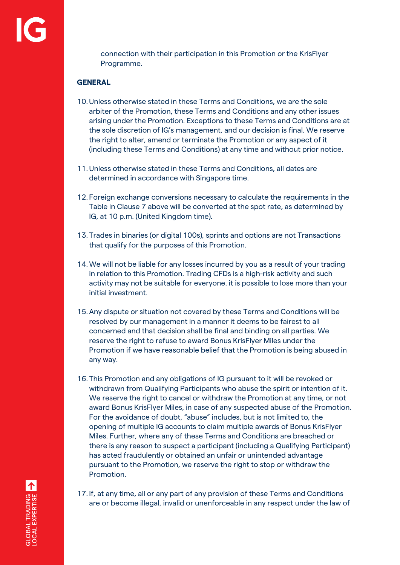connection with their participation in this Promotion or the KrisFlyer Programme.

# **GENERAL**

- 10.Unless otherwise stated in these Terms and Conditions, we are the sole arbiter of the Promotion, these Terms and Conditions and any other issues arising under the Promotion. Exceptions to these Terms and Conditions are at the sole discretion of IG's management, and our decision is final. We reserve the right to alter, amend or terminate the Promotion or any aspect of it (including these Terms and Conditions) at any time and without prior notice.
- 11.Unless otherwise stated in these Terms and Conditions, all dates are determined in accordance with Singapore time.
- 12. Foreign exchange conversions necessary to calculate the requirements in the Table in Clause 7 above will be converted at the spot rate, as determined by IG, at 10 p.m. (United Kingdom time).
- 13. Trades in binaries (or digital 100s), sprints and options are not Transactions that qualify for the purposes of this Promotion.
- 14.We will not be liable for any losses incurred by you as a result of your trading in relation to this Promotion. Trading CFDs is a high-risk activity and such activity may not be suitable for everyone. it is possible to lose more than your initial investment.
- 15.Any dispute or situation not covered by these Terms and Conditions will be resolved by our management in a manner it deems to be fairest to all concerned and that decision shall be final and binding on all parties. We reserve the right to refuse to award Bonus KrisFlyer Miles under the Promotion if we have reasonable belief that the Promotion is being abused in any way.
- 16. This Promotion and any obligations of IG pursuant to it will be revoked or withdrawn from Qualifying Participants who abuse the spirit or intention of it. We reserve the right to cancel or withdraw the Promotion at any time, or not award Bonus KrisFlyer Miles, in case of any suspected abuse of the Promotion. For the avoidance of doubt, "abuse" includes, but is not limited to, the opening of multiple IG accounts to claim multiple awards of Bonus KrisFlyer Miles. Further, where any of these Terms and Conditions are breached or there is any reason to suspect a participant (including a Qualifying Participant) has acted fraudulently or obtained an unfair or unintended advantage pursuant to the Promotion, we reserve the right to stop or withdraw the Promotion.
- 17. If, at any time, all or any part of any provision of these Terms and Conditions are or become illegal, invalid or unenforceable in any respect under the law of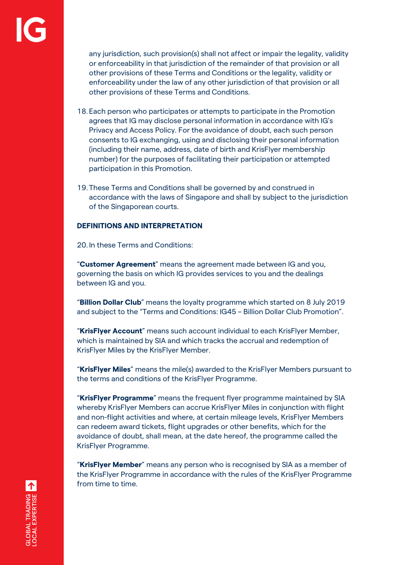any jurisdiction, such provision(s) shall not affect or impair the legality, validity or enforceability in that jurisdiction of the remainder of that provision or all other provisions of these Terms and Conditions or the legality, validity or enforceability under the law of any other jurisdiction of that provision or all other provisions of these Terms and Conditions.

- 18. Each person who participates or attempts to participate in the Promotion agrees that IG may disclose personal information in accordance with IG's Privacy and Access Policy. For the avoidance of doubt, each such person consents to IG exchanging, using and disclosing their personal information (including their name, address, date of birth and KrisFlyer membership number) for the purposes of facilitating their participation or attempted participation in this Promotion.
- 19. These Terms and Conditions shall be governed by and construed in accordance with the laws of Singapore and shall by subject to the jurisdiction of the Singaporean courts.

#### **DEFINITIONS AND INTERPRETATION**

20. In these Terms and Conditions:

"**Customer Agreement**" means the agreement made between IG and you, governing the basis on which IG provides services to you and the dealings between IG and you.

"**Billion Dollar Club**" means the loyalty programme which started on 8 July 2019 and subject to the "Terms and Conditions: IG45 – Billion Dollar Club Promotion".

"**KrisFlyer Account**" means such account individual to each KrisFlyer Member, which is maintained by SIA and which tracks the accrual and redemption of KrisFlyer Miles by the KrisFlyer Member.

"**KrisFlyer Miles**" means the mile(s) awarded to the KrisFlyer Members pursuant to the terms and conditions of the KrisFlyer Programme.

"**KrisFlyer Programme**" means the frequent flyer programme maintained by SIA whereby KrisFlyer Members can accrue KrisFlyer Miles in conjunction with flight and non-flight activities and where, at certain mileage levels, KrisFlyer Members can redeem award tickets, flight upgrades or other benefits, which for the avoidance of doubt, shall mean, at the date hereof, the programme called the KrisFlyer Programme.

"**KrisFlyer Member**" means any person who is recognised by SIA as a member of the KrisFlyer Programme in accordance with the rules of the KrisFlyer Programme from time to time.